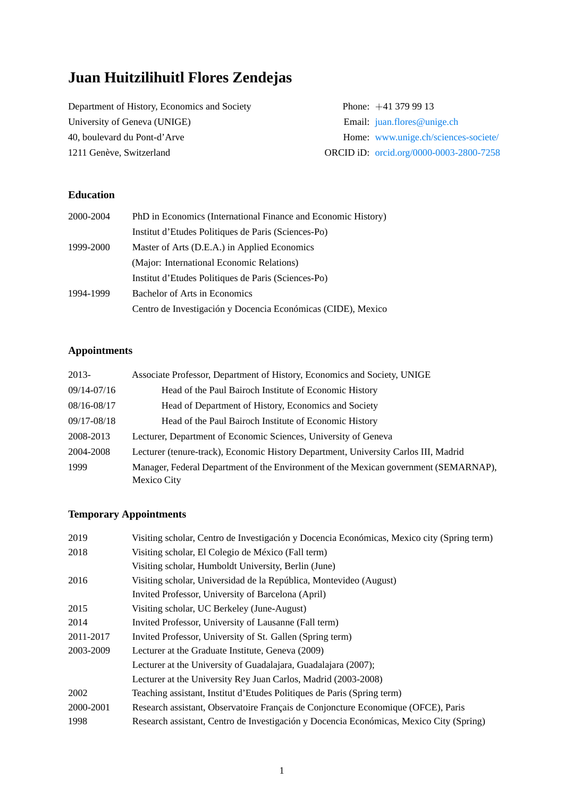# **Juan Huitzilihuitl Flores Zendejas**

Department of History, Economics and Society Phone: +41 379 99 13 University of Geneva (UNIGE) Email: <juan.flores@unige.ch> 40, boulevard du Pont-d'Arve Home: [www.unige.ch/sciences-societe/](https://www.unige.ch/sciences-societe/dehes/membres/juan-flores/) 1211 Genève, Switzerland ORCID iD: [orcid.org/0000-0003-2800-7258](https://orcid.org/0000-0003-2800-7258)

# **Education**

| 2000-2004 | PhD in Economics (International Finance and Economic History) |
|-----------|---------------------------------------------------------------|
|           | Institut d'Etudes Politiques de Paris (Sciences-Po)           |
| 1999-2000 | Master of Arts (D.E.A.) in Applied Economics                  |
|           | (Major: International Economic Relations)                     |
|           | Institut d'Etudes Politiques de Paris (Sciences-Po)           |
| 1994-1999 | <b>Bachelor of Arts in Economics</b>                          |
|           | Centro de Investigación y Docencia Económicas (CIDE), Mexico  |

## **Appointments**

| 2013-       | Associate Professor, Department of History, Economics and Society, UNIGE                            |
|-------------|-----------------------------------------------------------------------------------------------------|
| 09/14-07/16 | Head of the Paul Bairoch Institute of Economic History                                              |
| 08/16-08/17 | Head of Department of History, Economics and Society                                                |
| 09/17-08/18 | Head of the Paul Bairoch Institute of Economic History                                              |
| 2008-2013   | Lecturer, Department of Economic Sciences, University of Geneva                                     |
| 2004-2008   | Lecturer (tenure-track), Economic History Department, University Carlos III, Madrid                 |
| 1999        | Manager, Federal Department of the Environment of the Mexican government (SEMARNAP),<br>Mexico City |

# **Temporary Appointments**

| 2019      | Visiting scholar, Centro de Investigación y Docencia Económicas, Mexico city (Spring term) |
|-----------|--------------------------------------------------------------------------------------------|
| 2018      | Visiting scholar, El Colegio de México (Fall term)                                         |
|           | Visiting scholar, Humboldt University, Berlin (June)                                       |
| 2016      | Visiting scholar, Universidad de la República, Montevideo (August)                         |
|           | Invited Professor, University of Barcelona (April)                                         |
| 2015      | Visiting scholar, UC Berkeley (June-August)                                                |
| 2014      | Invited Professor, University of Lausanne (Fall term)                                      |
| 2011-2017 | Invited Professor, University of St. Gallen (Spring term)                                  |
| 2003-2009 | Lecturer at the Graduate Institute, Geneva (2009)                                          |
|           | Lecturer at the University of Guadalajara, Guadalajara (2007);                             |
|           | Lecturer at the University Rey Juan Carlos, Madrid (2003-2008)                             |
| 2002      | Teaching assistant, Institut d'Etudes Politiques de Paris (Spring term)                    |
| 2000-2001 | Research assistant, Observatoire Français de Conjoncture Economique (OFCE), Paris          |
| 1998      | Research assistant, Centro de Investigación y Docencia Económicas, Mexico City (Spring)    |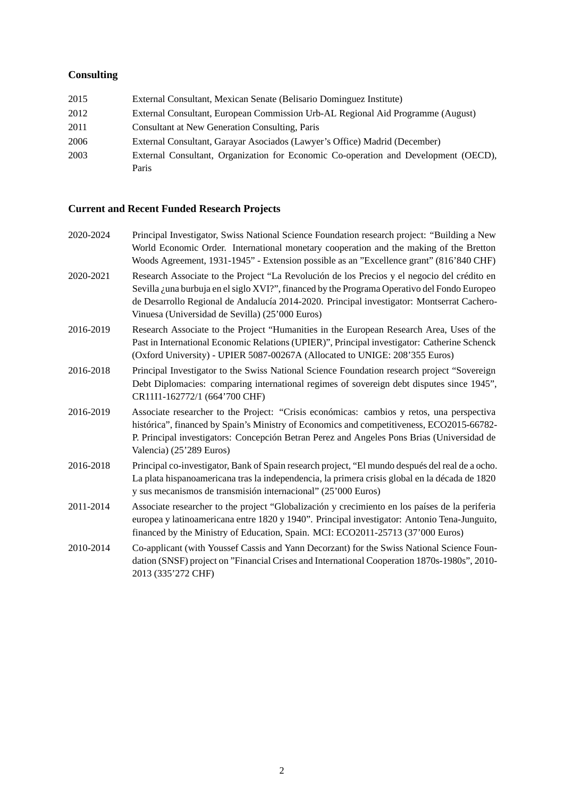# **Consulting**

| 2015 | External Consultant, Mexican Senate (Belisario Dominguez Institute)                 |
|------|-------------------------------------------------------------------------------------|
| 2012 | External Consultant, European Commission Urb-AL Regional Aid Programme (August)     |
| 2011 | <b>Consultant at New Generation Consulting, Paris</b>                               |
| 2006 | External Consultant, Garayar Asociados (Lawyer's Office) Madrid (December)          |
| 2003 | External Consultant, Organization for Economic Co-operation and Development (OECD). |
|      | Paris                                                                               |

# **Current and Recent Funded Research Projects**

| 2020-2024 | Principal Investigator, Swiss National Science Foundation research project: "Building a New<br>World Economic Order. International monetary cooperation and the making of the Bretton<br>Woods Agreement, 1931-1945" - Extension possible as an "Excellence grant" (816'840 CHF)                                                             |
|-----------|----------------------------------------------------------------------------------------------------------------------------------------------------------------------------------------------------------------------------------------------------------------------------------------------------------------------------------------------|
| 2020-2021 | Research Associate to the Project "La Revolución de los Precios y el negocio del crédito en<br>Sevilla ¿una burbuja en el siglo XVI?", financed by the Programa Operativo del Fondo Europeo<br>de Desarrollo Regional de Andalucía 2014-2020. Principal investigator: Montserrat Cachero-<br>Vinuesa (Universidad de Sevilla) (25'000 Euros) |
| 2016-2019 | Research Associate to the Project "Humanities in the European Research Area, Uses of the<br>Past in International Economic Relations (UPIER)", Principal investigator: Catherine Schenck<br>(Oxford University) - UPIER 5087-00267A (Allocated to UNIGE: 208'355 Euros)                                                                      |
| 2016-2018 | Principal Investigator to the Swiss National Science Foundation research project "Sovereign<br>Debt Diplomacies: comparing international regimes of sovereign debt disputes since 1945",<br>CR11I1-162772/1 (664'700 CHF)                                                                                                                    |
| 2016-2019 | Associate researcher to the Project: "Crisis económicas: cambios y retos, una perspectiva<br>histórica", financed by Spain's Ministry of Economics and competitiveness, ECO2015-66782-<br>P. Principal investigators: Concepción Betran Perez and Angeles Pons Brias (Universidad de<br>Valencia) (25'289 Euros)                             |
| 2016-2018 | Principal co-investigator, Bank of Spain research project, "El mundo después del real de a ocho.<br>La plata hispanoamericana tras la independencia, la primera crisis global en la década de 1820<br>y sus mecanismos de transmisión internacional" (25'000 Euros)                                                                          |
| 2011-2014 | Associate researcher to the project "Globalización y crecimiento en los países de la periferia<br>europea y latinoamericana entre 1820 y 1940". Principal investigator: Antonio Tena-Junguito,<br>financed by the Ministry of Education, Spain. MCI: ECO2011-25713 (37'000 Euros)                                                            |
| 2010-2014 | Co-applicant (with Youssef Cassis and Yann Decorzant) for the Swiss National Science Foun-<br>dation (SNSF) project on "Financial Crises and International Cooperation 1870s-1980s", 2010-<br>2013 (335'272 CHF)                                                                                                                             |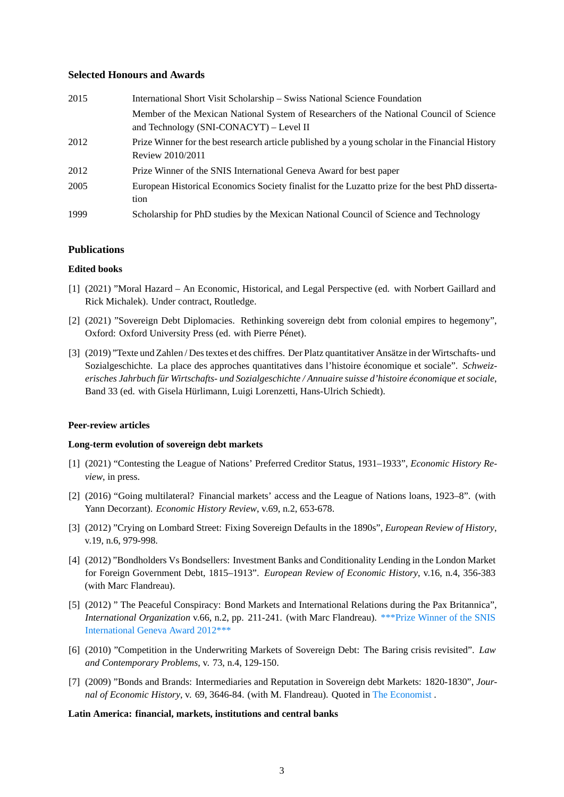## **Selected Honours and Awards**

| 2015 | International Short Visit Scholarship - Swiss National Science Foundation                                                          |
|------|------------------------------------------------------------------------------------------------------------------------------------|
|      | Member of the Mexican National System of Researchers of the National Council of Science<br>and Technology (SNI-CONACYT) - Level II |
| 2012 | Prize Winner for the best research article published by a young scholar in the Financial History<br>Review 2010/2011               |
| 2012 | Prize Winner of the SNIS International Geneva Award for best paper                                                                 |
| 2005 | European Historical Economics Society finalist for the Luzatto prize for the best PhD disserta-<br>tion                            |
| 1999 | Scholarship for PhD studies by the Mexican National Council of Science and Technology                                              |

## **Publications**

## **Edited books**

- [1] (2021) "Moral Hazard An Economic, Historical, and Legal Perspective (ed. with Norbert Gaillard and Rick Michalek). Under contract, Routledge.
- [2] (2021) "Sovereign Debt Diplomacies. Rethinking sovereign debt from colonial empires to hegemony", Oxford: Oxford University Press (ed. with Pierre Pénet).
- [3] (2019) "Texte und Zahlen / Des textes et des chiffres. Der Platz quantitativer Ansätze in der Wirtschafts- und Sozialgeschichte. La place des approches quantitatives dans l'histoire économique et sociale". *Schweizerisches Jahrbuch für Wirtschafts- und Sozialgeschichte / Annuaire suisse d'histoire économique et sociale*, Band 33 (ed. with Gisela Hürlimann, Luigi Lorenzetti, Hans-Ulrich Schiedt).

## **Peer-review articles**

## **Long-term evolution of sovereign debt markets**

- [1] (2021) "Contesting the League of Nations' Preferred Creditor Status, 1931–1933", *Economic History Review*, in press.
- [2] (2016) "Going multilateral? Financial markets' access and the League of Nations loans, 1923–8". (with Yann Decorzant). *Economic History Review*, v.69, n.2, 653-678.
- [3] (2012) "Crying on Lombard Street: Fixing Sovereign Defaults in the 1890s", *European Review of History*, v.19, n.6, 979-998.
- [4] (2012) "Bondholders Vs Bondsellers: Investment Banks and Conditionality Lending in the London Market for Foreign Government Debt, 1815–1913". *European Review of Economic History*, v.16, n.4, 356-383 (with Marc Flandreau).
- [5] (2012) " The Peaceful Conspiracy: Bond Markets and International Relations during the Pax Britannica", *International Organization* v.66, n.2, pp. 211-241. (with Marc Flandreau). [\\*\\*\\*Prize Winner of the SNIS](https://snis.ch/wp-content/uploads/2020/02/snis_annual_report_2012.pdf) [International Geneva Award 2012\\*\\*\\*](https://snis.ch/wp-content/uploads/2020/02/snis_annual_report_2012.pdf)
- [6] (2010) "Competition in the Underwriting Markets of Sovereign Debt: The Baring crisis revisited". *Law and Contemporary Problems*, v. 73, n.4, 129-150.
- [7] (2009) "Bonds and Brands: Intermediaries and Reputation in Sovereign debt Markets: 1820-1830", *Journal of Economic History*, v. 69, 3646-84. (with M. Flandreau). Quoted in [The Economist](http://www.economist.com/news/christmas-specials/21568583-biggest-fraud-history-warning-professional-and-amateur-investors) .

## **Latin America: financial, markets, institutions and central banks**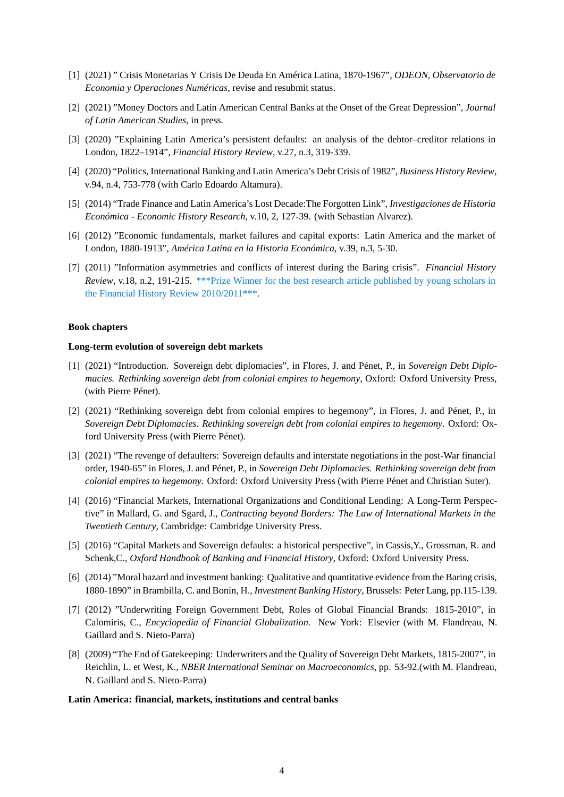- [1] (2021) " Crisis Monetarias Y Crisis De Deuda En América Latina, 1870-1967", *ODEON, Observatorio de Economia y Operaciones Numéricas*, revise and resubmit status.
- [2] (2021) "Money Doctors and Latin American Central Banks at the Onset of the Great Depression", *Journal of Latin American Studies*, in press.
- [3] (2020) "Explaining Latin America's persistent defaults: an analysis of the debtor–creditor relations in London, 1822–1914", *Financial History Review*, v.27, n.3, 319-339.
- [4] (2020) "Politics, International Banking and Latin America's Debt Crisis of 1982", *Business History Review*, v.94, n.4, 753-778 (with Carlo Edoardo Altamura).
- [5] (2014) "Trade Finance and Latin America's Lost Decade:The Forgotten Link", *Investigaciones de Historia Económica - Economic History Research*, v.10, 2, 127-39. (with Sebastian Alvarez).
- [6] (2012) "Economic fundamentals, market failures and capital exports: Latin America and the market of London, 1880-1913", *América Latina en la Historia Económica*, v.39, n.3, 5-30.
- [7] (2011) "Information asymmetries and conflicts of interest during the Baring crisis". *Financial History Review*, v.18, n.2, 191-215. [\\*\\*\\*Prize Winner for the best research article published by young scholars in](http://www.eabh.info/fileadmin/pdf/eabh/EABH_Annual_Report_2012.pdf) [the Financial History Review 2010/2011\\*\\*\\*.](http://www.eabh.info/fileadmin/pdf/eabh/EABH_Annual_Report_2012.pdf)

## **Book chapters**

#### **Long-term evolution of sovereign debt markets**

- [1] (2021) "Introduction. Sovereign debt diplomacies", in Flores, J. and Pénet, P., in *Sovereign Debt Diplomacies. Rethinking sovereign debt from colonial empires to hegemony*, Oxford: Oxford University Press, (with Pierre Pénet).
- [2] (2021) "Rethinking sovereign debt from colonial empires to hegemony", in Flores, J. and Pénet, P., in *Sovereign Debt Diplomacies. Rethinking sovereign debt from colonial empires to hegemony*. Oxford: Oxford University Press (with Pierre Pénet).
- [3] (2021) "The revenge of defaulters: Sovereign defaults and interstate negotiations in the post-War financial order, 1940-65" in Flores, J. and Pénet, P., in *Sovereign Debt Diplomacies. Rethinking sovereign debt from colonial empires to hegemony*. Oxford: Oxford University Press (with Pierre Pénet and Christian Suter).
- [4] (2016) "Financial Markets, International Organizations and Conditional Lending: A Long-Term Perspective" in Mallard, G. and Sgard, J., *Contracting beyond Borders: The Law of International Markets in the Twentieth Century*, Cambridge: Cambridge University Press.
- [5] (2016) "Capital Markets and Sovereign defaults: a historical perspective", in Cassis,Y., Grossman, R. and Schenk,C., *Oxford Handbook of Banking and Financial History*, Oxford: Oxford University Press.
- [6] (2014) "Moral hazard and investment banking: Qualitative and quantitative evidence from the Baring crisis, 1880-1890" in Brambilla, C. and Bonin, H., *Investment Banking History*, Brussels: Peter Lang, pp.115-139.
- [7] (2012) "Underwriting Foreign Government Debt, Roles of Global Financial Brands: 1815-2010", in Calomiris, C., *Encyclopedia of Financial Globalization*. New York: Elsevier (with M. Flandreau, N. Gaillard and S. Nieto-Parra)
- [8] (2009) "The End of Gatekeeping: Underwriters and the Quality of Sovereign Debt Markets, 1815-2007", in Reichlin, L. et West, K., *NBER International Seminar on Macroeconomics*, pp. 53-92.(with M. Flandreau, N. Gaillard and S. Nieto-Parra)

#### **Latin America: financial, markets, institutions and central banks**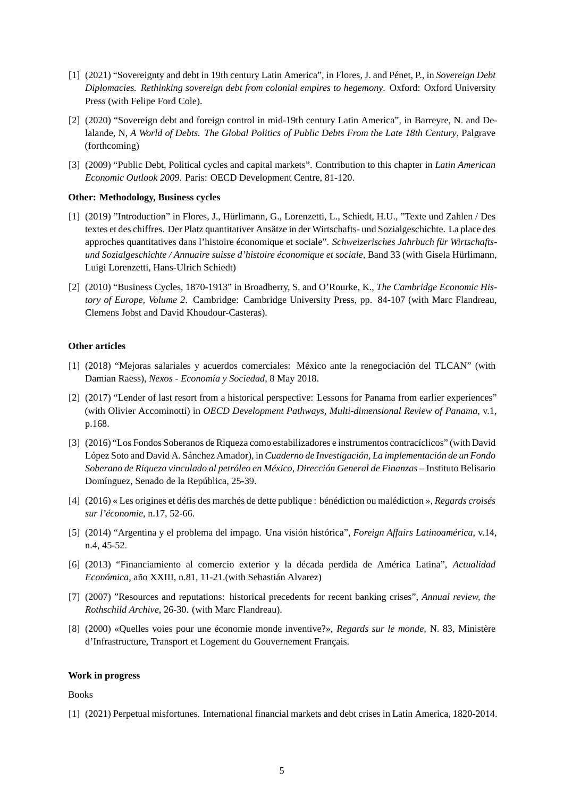- [1] (2021) "Sovereignty and debt in 19th century Latin America", in Flores, J. and Pénet, P., in *Sovereign Debt Diplomacies. Rethinking sovereign debt from colonial empires to hegemony*. Oxford: Oxford University Press (with Felipe Ford Cole).
- [2] (2020) "Sovereign debt and foreign control in mid-19th century Latin America", in Barreyre, N. and Delalande, N, *A World of Debts. The Global Politics of Public Debts From the Late 18th Century*, Palgrave (forthcoming)
- [3] (2009) "Public Debt, Political cycles and capital markets". Contribution to this chapter in *Latin American Economic Outlook 2009*. Paris: OECD Development Centre, 81-120.

#### **Other: Methodology, Business cycles**

- [1] (2019) "Introduction" in Flores, J., Hürlimann, G., Lorenzetti, L., Schiedt, H.U., "Texte und Zahlen / Des textes et des chiffres. Der Platz quantitativer Ansätze in der Wirtschafts- und Sozialgeschichte. La place des approches quantitatives dans l'histoire économique et sociale". *Schweizerisches Jahrbuch für Wirtschaftsund Sozialgeschichte / Annuaire suisse d'histoire économique et sociale*, Band 33 (with Gisela Hürlimann, Luigi Lorenzetti, Hans-Ulrich Schiedt)
- [2] (2010) "Business Cycles, 1870-1913" in Broadberry, S. and O'Rourke, K., *The Cambridge Economic History of Europe, Volume 2*. Cambridge: Cambridge University Press, pp. 84-107 (with Marc Flandreau, Clemens Jobst and David Khoudour-Casteras).

## **Other articles**

- [1] (2018) "Mejoras salariales y acuerdos comerciales: México ante la renegociación del TLCAN" (with Damian Raess), *Nexos - Economía y Sociedad*, 8 May 2018.
- [2] (2017) "Lender of last resort from a historical perspective: Lessons for Panama from earlier experiences" (with Olivier Accominotti) in *OECD Development Pathways, Multi-dimensional Review of Panama*, v.1, p.168.
- [3] (2016) "Los Fondos Soberanos de Riqueza como estabilizadores e instrumentos contracíclicos" (with David López Soto and David A. Sánchez Amador), in *Cuaderno de Investigación, La implementación de un Fondo Soberano de Riqueza vinculado al petróleo en México, Dirección General de Finanzas* – Instituto Belisario Domínguez, Senado de la República, 25-39.
- [4] (2016) « Les origines et défis des marchés de dette publique : bénédiction ou malédiction », *Regards croisés sur l'économie*, n.17, 52-66.
- [5] (2014) "Argentina y el problema del impago. Una visión histórica", *Foreign Affairs Latinoamérica*, v.14, n.4, 45-52.
- [6] (2013) "Financiamiento al comercio exterior y la década perdida de América Latina", *Actualidad Económica*, año XXIII, n.81, 11-21.(with Sebastián Alvarez)
- [7] (2007) "Resources and reputations: historical precedents for recent banking crises", *Annual review, the Rothschild Archive*, 26-30. (with Marc Flandreau).
- [8] (2000) «Quelles voies pour une économie monde inventive?», *Regards sur le monde*, N. 83, Ministère d'Infrastructure, Transport et Logement du Gouvernement Français.

#### **Work in progress**

#### Books

[1] (2021) Perpetual misfortunes. International financial markets and debt crises in Latin America, 1820-2014.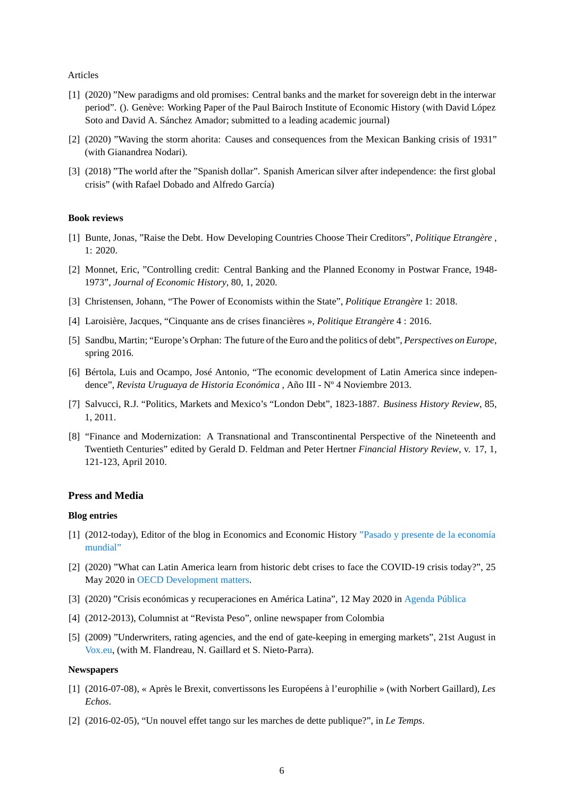#### Articles

- [1] (2020) "New paradigms and old promises: Central banks and the market for sovereign debt in the interwar period". (). Genève: Working Paper of the Paul Bairoch Institute of Economic History (with David López Soto and David A. Sánchez Amador; submitted to a leading academic journal)
- [2] (2020) "Waving the storm ahorita: Causes and consequences from the Mexican Banking crisis of 1931" (with Gianandrea Nodari).
- [3] (2018) "The world after the "Spanish dollar". Spanish American silver after independence: the first global crisis" (with Rafael Dobado and Alfredo García)

### **Book reviews**

- [1] Bunte, Jonas, "Raise the Debt. How Developing Countries Choose Their Creditors", *Politique Etrangère* , 1: 2020.
- [2] Monnet, Eric, "Controlling credit: Central Banking and the Planned Economy in Postwar France, 1948- 1973", *Journal of Economic History*, 80, 1, 2020.
- [3] Christensen, Johann, "The Power of Economists within the State", *Politique Etrangère* 1: 2018.
- [4] Laroisière, Jacques, "Cinquante ans de crises financières », *Politique Etrangère* 4 : 2016.
- [5] Sandbu, Martin; "Europe's Orphan: The future of the Euro and the politics of debt", *Perspectives on Europe*, spring 2016.
- [6] Bértola, Luis and Ocampo, José Antonio, "The economic development of Latin America since independence", *Revista Uruguaya de Historia Económica* , Año III - Nº 4 Noviembre 2013.
- [7] Salvucci, R.J. "Politics, Markets and Mexico's "London Debt", 1823-1887. *Business History Review*, 85, 1, 2011.
- [8] "Finance and Modernization: A Transnational and Transcontinental Perspective of the Nineteenth and Twentieth Centuries" edited by Gerald D. Feldman and Peter Hertner *Financial History Review*, v. 17, 1, 121-123, April 2010.

#### **Press and Media**

#### **Blog entries**

- [1] (2012-today), Editor of the blog in Economics and Economic History ["Pasado y presente de la economía](https://pasadoypresenteblog.wordpress.com/) [mundial"](https://pasadoypresenteblog.wordpress.com/)
- [2] (2020) "What can Latin America learn from historic debt crises to face the COVID-19 crisis today?", 25 May 2020 in [OECD Development matters](https://oecd-development-matters.org/2020/05/25/what-can-latin-america-learn-from-historic-debt-crises-to-face-the-covid-19-crisis-today/).
- [3] (2020) "Crisis económicas y recuperaciones en América Latina", 12 May 2020 in [Agenda Pública](https://agendapublica.es/crisis-economicas-y-recuperaciones-en-america-latina/)
- [4] (2012-2013), Columnist at "Revista Peso", online newspaper from Colombia
- [5] (2009) "Underwriters, rating agencies, and the end of gate-keeping in emerging markets", 21st August in [Vox.eu](https://voxeu.org/article/emerging-market-debts-why-don-t-investment-banks-pay-attention), (with M. Flandreau, N. Gaillard et S. Nieto-Parra).

#### **Newspapers**

- [1] (2016-07-08), « Après le Brexit, convertissons les Européens à l'europhilie » (with Norbert Gaillard), *Les Echos*.
- [2] (2016-02-05), "Un nouvel effet tango sur les marches de dette publique?", in *Le Temps*.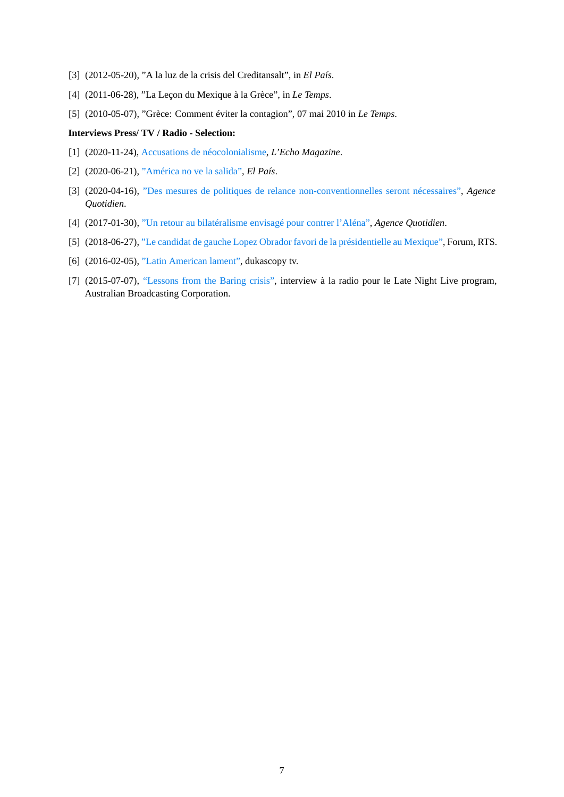- [3] (2012-05-20), "A la luz de la crisis del Creditansalt", in *El País*.
- [4] (2011-06-28), "La Leçon du Mexique à la Grèce", in *Le Temps*.
- [5] (2010-05-07), "Grèce: Comment éviter la contagion", 07 mai 2010 in *Le Temps*.

#### **Interviews Press/ TV / Radio - Selection:**

- [1] (2020-11-24), [Accusations de néocolonialisme](https://echomagazine.ch/item/361-accusations-de-neocolonialisme), *L'Echo Magazine*.
- [2] (2020-06-21), ["América no ve la salida"](https://elpais.com/sociedad/2020-06-20/america-no-ve-la-salida.html), *El País*.
- [3] (2020-04-16), ["Des mesures de politiques de relance non-conventionnelles seront nécessaires",](http://www.agefi.com/home/politique/detail/edition/online/article/la-suisse-attend-une-sortie-de-crise-le-conseil-federal-devrait-annoncer-jeudi-les-premieres-mesures-de-la-fin-du-confinement-quels-scenarios-nous-attendent-des-economistes-de-luniversite-495701.html) *Agence Quotidien*.
- [4] (2017-01-30), ["Un retour au bilatéralisme envisagé pour contrer l'Aléna",](https://www.agefi.com/nc/quotidien-agefi/europe-monde/detail/edition/2017-01-30/article/etats-unismexique-outre-le-secteur-automobile-lindustrie-de-la-manufacture-souffrirait-aussi-de-cette-scission-446108.html) *Agence Quotidien*.
- [5] (2018-06-27), ["Le candidat de gauche Lopez Obrador favori de la présidentielle au Mexique",](https://www.rts.ch/play/radio/forum/audio/le-candidat-de-gauche-lopez-obrador-favori-de-la-presidentielle-au-mexique?id=9660142) Forum, RTS.
- [6] (2016-02-05), ["Latin American lament",](https://youtu.be/oJXaqsbJBhA) dukascopy tv.
- [7] (2015-07-07), ["Lessons from the Baring crisis",](https://www.abc.net.au/radionational/programs/latenightlive/the-baring-crisis-of-1890-revisited/6599016) interview à la radio pour le Late Night Live program, Australian Broadcasting Corporation.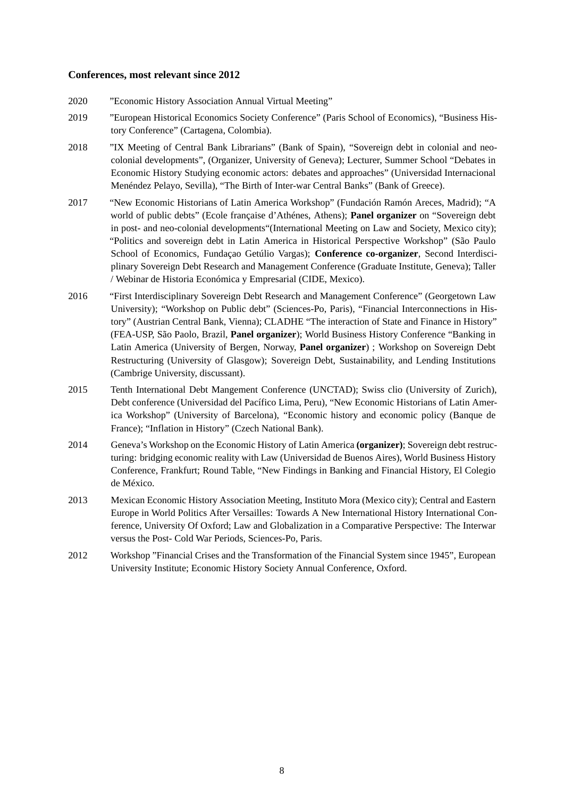## **Conferences, most relevant since 2012**

- 2020 "Economic History Association Annual Virtual Meeting"
- 2019 "European Historical Economics Society Conference" (Paris School of Economics), "Business History Conference" (Cartagena, Colombia).
- 2018 "IX Meeting of Central Bank Librarians" (Bank of Spain), "Sovereign debt in colonial and neocolonial developments", (Organizer, University of Geneva); Lecturer, Summer School "Debates in Economic History Studying economic actors: debates and approaches" (Universidad Internacional Menéndez Pelayo, Sevilla), "The Birth of Inter-war Central Banks" (Bank of Greece).
- 2017 "New Economic Historians of Latin America Workshop" (Fundación Ramón Areces, Madrid); "A world of public debts" (Ecole française d'Athénes, Athens); **Panel organizer** on "Sovereign debt in post- and neo-colonial developments"(International Meeting on Law and Society, Mexico city); "Politics and sovereign debt in Latin America in Historical Perspective Workshop" (São Paulo School of Economics, Fundaçao Getúlio Vargas); **Conference co-organizer**, Second Interdisciplinary Sovereign Debt Research and Management Conference (Graduate Institute, Geneva); Taller / Webinar de Historia Económica y Empresarial (CIDE, Mexico).
- 2016 "First Interdisciplinary Sovereign Debt Research and Management Conference" (Georgetown Law University); "Workshop on Public debt" (Sciences-Po, Paris), "Financial Interconnections in History" (Austrian Central Bank, Vienna); CLADHE "The interaction of State and Finance in History" (FEA-USP, São Paolo, Brazil, **Panel organizer**); World Business History Conference "Banking in Latin America (University of Bergen, Norway, **Panel organizer**) ; Workshop on Sovereign Debt Restructuring (University of Glasgow); Sovereign Debt, Sustainability, and Lending Institutions (Cambrige University, discussant).
- 2015 Tenth International Debt Mangement Conference (UNCTAD); Swiss clio (University of Zurich), Debt conference (Universidad del Pacífico Lima, Peru), "New Economic Historians of Latin America Workshop" (University of Barcelona), "Economic history and economic policy (Banque de France); "Inflation in History" (Czech National Bank).
- 2014 Geneva's Workshop on the Economic History of Latin America **(organizer)**; Sovereign debt restructuring: bridging economic reality with Law (Universidad de Buenos Aires), World Business History Conference, Frankfurt; Round Table, "New Findings in Banking and Financial History, El Colegio de México.
- 2013 Mexican Economic History Association Meeting, Instituto Mora (Mexico city); Central and Eastern Europe in World Politics After Versailles: Towards A New International History International Conference, University Of Oxford; Law and Globalization in a Comparative Perspective: The Interwar versus the Post- Cold War Periods, Sciences-Po, Paris.
- 2012 Workshop "Financial Crises and the Transformation of the Financial System since 1945", European University Institute; Economic History Society Annual Conference, Oxford.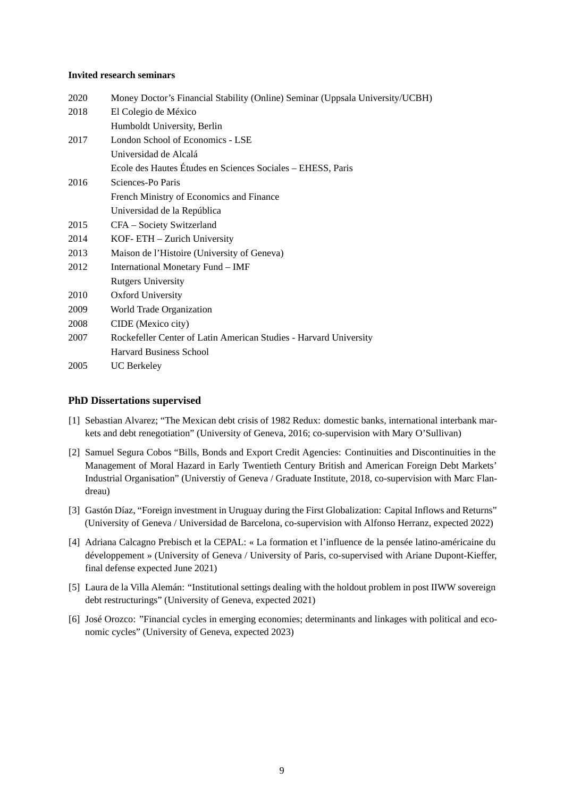### **Invited research seminars**

| 2020 | Money Doctor's Financial Stability (Online) Seminar (Uppsala University/UCBH) |
|------|-------------------------------------------------------------------------------|
| 2018 | El Colegio de México                                                          |
|      | Humboldt University, Berlin                                                   |
| 2017 | London School of Economics - LSE                                              |
|      | Universidad de Alcalá                                                         |
|      | Ecole des Hautes Études en Sciences Sociales - EHESS, Paris                   |
| 2016 | Sciences-Po Paris                                                             |
|      | French Ministry of Economics and Finance                                      |
|      | Universidad de la República                                                   |
| 2015 | CFA - Society Switzerland                                                     |
| 2014 | KOF-ETH - Zurich University                                                   |
| 2013 | Maison de l'Histoire (University of Geneva)                                   |
| 2012 | International Monetary Fund – IMF                                             |
|      | <b>Rutgers University</b>                                                     |
| 2010 | Oxford University                                                             |
| 2009 | World Trade Organization                                                      |
| 2008 | CIDE (Mexico city)                                                            |
| 2007 | Rockefeller Center of Latin American Studies - Harvard University             |
|      | Harvard Business School                                                       |
| 2005 | <b>UC Berkeley</b>                                                            |

## **PhD Dissertations supervised**

- [1] Sebastian Alvarez; "The Mexican debt crisis of 1982 Redux: domestic banks, international interbank markets and debt renegotiation" (University of Geneva, 2016; co-supervision with Mary O'Sullivan)
- [2] Samuel Segura Cobos "Bills, Bonds and Export Credit Agencies: Continuities and Discontinuities in the Management of Moral Hazard in Early Twentieth Century British and American Foreign Debt Markets' Industrial Organisation" (Universtiy of Geneva / Graduate Institute, 2018, co-supervision with Marc Flandreau)
- [3] Gastón Díaz, "Foreign investment in Uruguay during the First Globalization: Capital Inflows and Returns" (University of Geneva / Universidad de Barcelona, co-supervision with Alfonso Herranz, expected 2022)
- [4] Adriana Calcagno Prebisch et la CEPAL: « La formation et l'influence de la pensée latino-américaine du développement » (University of Geneva / University of Paris, co-supervised with Ariane Dupont-Kieffer, final defense expected June 2021)
- [5] Laura de la Villa Alemán: "Institutional settings dealing with the holdout problem in post IIWW sovereign debt restructurings" (University of Geneva, expected 2021)
- [6] José Orozco: "Financial cycles in emerging economies; determinants and linkages with political and economic cycles" (University of Geneva, expected 2023)